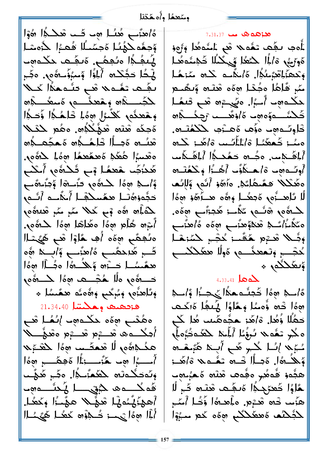ومنعما وأممتنا

ةُ اهنَّب هُنُـا هو تَـب تَعـلـهُ! هُوٓا وَّحِمُّه حَجُبُّلَ هُجِسَّىلًا فُعَـرًا حُزْوَمْتَـلَ لَىٰفُ\$َا ەنُفِعُى. ەُنفِّت تْكْتَمُوت لِّهُ حَا حَجَّكُ ﴾ أَلَمُوا وَسَبُوَّ هُ مِ مَجْمِ لجَسِكَ شَهْدِ هُبِ تَشْدَهَدُا كَمِيلًا لمَجْمَعِنَدُوهِ وَحْمَدَ مِنْ مَسْتَكْرِهِ وهعدكُم كَلَّدُول 3 مِنْ كَلِمُكُمْ أَحْكُمْ هُجكُم مْعْنُرُه شَهْكُكُمُ وهُ مِصْعِرِ حَكَمَدًا هَنُــهِ هَجــاًا خَاـعُــهُه هَـعجَعــهُه وقسبرا هُعَدِ هُعمُعها وهُا لِهُور. هُدُٰٓئُٖٮ هَعمُـٰا وۡٮ ثَـٰدُوُّہٖ أَسْلَـٰـ ؤاسطِ مِهْدًا لِحَدَّةٍ وَنُسَوْدًا وَجَنُعِيَّفَ فَيَ حَجُّه; هُنْـا همَّىــلاَهْـا أَنذُــه أَنَّـم لاَعْلَى وَهُ وَبِ كَلاَ مَيْرٍ مَيْرٍ هُدَاهُ مِ أَجْرَه هُلُع هِهُمْ مَعْلِقَا هِهُمْ كَمُّهَى. هنُجِمَّمٍ وَهَمَ أَجِي هَٰلَهُوا مَنْ هَيُسْأَلَ كُبِ هَٰدِهِمَـــبِ هُاهِنَّـــبِ وَٱبْــٰهُ وَّهِ٥ همَسُل حَــْزَه وَكُــْهُ أَمْلَــْ أَمَّالَ هَــْ أَلْمَا هَــْ أَلْمَا هَــْ أَلْمَا هَــْ أَلْمَا خَــْمُوْمِ وَلَمْا هُجْـَـْتِ رَوْءًا ۖ كَـْمَوْمِ وِنُاهِدُو وِجْبِكُم وِهُوعُه هِمُسْلَ \* فاحصن ومكشا 21.34.40 ەھُنْب ھەر مكدەب الْعُا شى أجكسمها تحستوه تعستوه وتعثيلك عَكَمِرْهُمِ لَا مُعَصِّى وَهُمْ لِحَقَّيْمِهِ أُمِيا هِ مَنْمِ الْمَصْدِرِ الْمُحَمَّدِ هِمَا وِتَوْحَكُونَهُ لِلْعَمَّنُوجُّلُ وَجُمْ هَٰذَى فَمكْــــــه ه كَبْرَتِي ـــالْمُ حَنَّـــــــم أَهِجْزَيَّسُولُمْ شَجَّىلاً هِجَّىزًا وَكَعُلْ

المشرقة لمفة مرؤكمة نمس اذه المأ

7.31.37 من 7.31.37 لْمُوبِ بِجُعِبٍ يَـمُوجِدٍ مَنْ لِمَنْوَمُوا وَرُوو هُوَرُنِيٌ وَالْمُأْلَّسُكُمْ فَيَحْكُلُّا خَذِمْدُهُ مِنْهَ وتَحْفَظُ الْحَبَّسُكُمَّا. هَ اَسْلَمَتْ عَلَيْهِ مَعْزَهُمَا لمكدوم أمراً. ويُجِبْرُه شَم قَتْمًا كُكْشُـــەوُەھٖـ ەُ/ۈھُـــــا رُجِكُـــدِّ0 فْلُوسُوهِم وَوَّها وَهَبَّدِ لِلْكَفَلَـهِ. ەمئەز خَمْعَتْمَا ۋالمَلَّكْسە ۋاھْدز كەر ٱلمقَـٰلِمِـٰ وَجُـِهِ حَـهُـٰـٰهِۢا ٱلْمَقَـٰٰهَٰٮ أوئے وہ ڈا ہے کُوُّب اُھُےُّا وِ حُکْمُ وہ ەھكلا قېمۇلگە. ەزەۋ آئەر ۆللى لَّا تَـٰاهَـــأَهِ هُجِعَــا وِهُه هـــأهُوْ هِهَٰا ەڭگُىزُاگىد ھُلاَوُھنَّى ھەرە ەُاھنَّى وِجْـلا مْــْمِم هَقَــ: حُجْـِ لِمَعْنِهَـا كْثْبِ وْتْعْعَدْتُ مِ هُوِلًا مْݣُلْكْتِب وَسَكَلْكُم \* 4.33.41  $\log$ مَاسِمِهِ وَالْكُمْسَامَةِ الْمُحَمَّدِينَ مِنْ الْمَحْمَدِينَ مِنْ الْمَحْمَدِينَ مِنْ الْمَحْمَدِين

هِوَٰٓا خَهِ وُمِمَا وِهَٰٓاءُا لِمُعِظَّ وَرَحْمِهِ حَقُلًا وُهُل وْأَهُرْ هِجُوهُنك هُل كُلِّ ه كُبِرٍ تَعْمَدُ لُرِؤُمُّا أَبَلَٰذَا كَظَمْخُبُومِكِّا سُبَمِهِ إِسْا كُبِرٍ هُمِ أَبَعَ هَبْمُ هُ وَجْلَالُ وَاللَّهُ أَنَّ مَعْدُ وَأَهْدَ هجُّەز قُەھُبر ەقٖەھ ھٛلەھ كَاھبُر مِن هَٰلِهُۥ خَعزَجِجُ١ هَنفِّت شَنْبَهِ ثَبِ لَٰل هِزَمِ ذَهِ هُـْمِ وَلِمَحْدَهُ الْإِنْكَانِ أَمَّةٍ لِجُلِيْكَ هُمِمَلِّلْكُمْ وَهُوَ كُمْ سَبْوَا